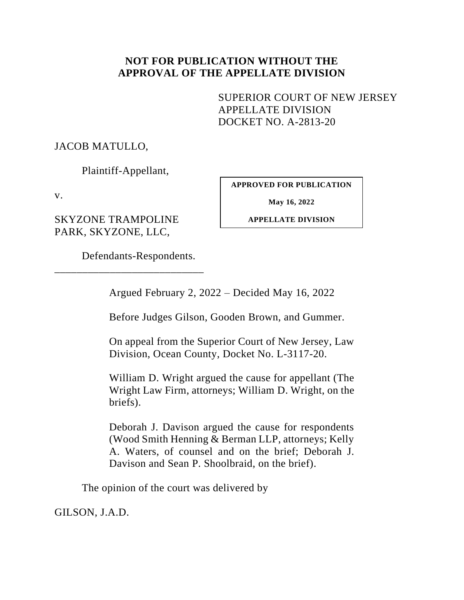## **NOT FOR PUBLICATION WITHOUT THE APPROVAL OF THE APPELLATE DIVISION**

<span id="page-0-0"></span>SUPERIOR COURT OF NEW JERSEY APPELLATE DIVISION DOCKET NO. A-2813-20

JACOB MATULLO,

Plaintiff-Appellant,

v.

SKYZONE TRAMPOLINE PARK, SKYZONE, LLC,

**APPROVED FOR PUBLICATION**

**May 16, 2022**

**APPELLATE DIVISION**

Defendants-Respondents.

\_\_\_\_\_\_\_\_\_\_\_\_\_\_\_\_\_\_\_\_\_\_\_\_\_\_\_

Argued February 2, 2022 – Decided May 16, 2022

Before Judges Gilson, Gooden Brown, and Gummer.

On appeal from the Superior Court of New Jersey, Law Division, Ocean County, Docket No. L-3117-20.

William D. Wright argued the cause for appellant (The Wright Law Firm, attorneys; William D. Wright, on the briefs).

Deborah J. Davison argued the cause for respondents (Wood Smith Henning & Berman LLP, attorneys; Kelly A. Waters, of counsel and on the brief; Deborah J. Davison and Sean P. Shoolbraid, on the brief).

The opinion of the court was delivered by

GILSON, J.A.D.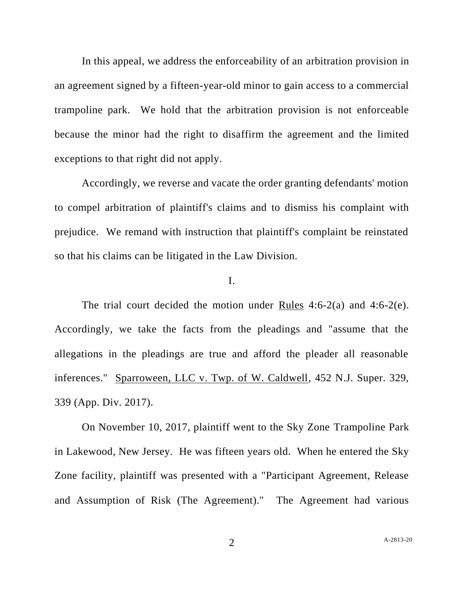In this appeal, we address the enforceability of an arbitration provision in an agreement signed by a fifteen-year-old minor to gain access to a commercial trampoline park. We hold that the arbitration provision is not enforceable because the minor had the right to disaffirm the agreement and the limited exceptions to that right did not apply.

Accordingly, we reverse and vacate the order granting defendants' motion to compel arbitration of plaintiff's claims and to dismiss his complaint with prejudice. We remand with instruction that plaintiff's complaint be reinstated so that his claims can be litigated in the Law Division.

## I.

The trial court decided the motion under Rules 4:6-2(a) and 4:6-2(e). Accordingly, we take the facts from the pleadings and "assume that the allegations in the pleadings are true and afford the pleader all reasonable inferences." Sparroween, LLC v. Twp. of W. Caldwell, 452 N.J. Super. 329, 339 (App. Div. 2017).

On November 10, 2017, plaintiff went to the Sky Zone Trampoline Park in Lakewood, New Jersey. He was fifteen years old. When he entered the Sky Zone facility, plaintiff was presented with a "Participant Agreement, Release and Assumption of Risk (The Agreement)." The Agreement had various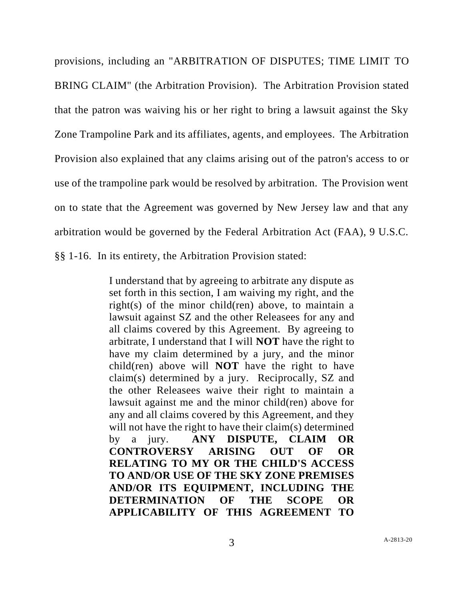provisions, including an "ARBITRATION OF DISPUTES; TIME LIMIT TO BRING CLAIM" (the Arbitration Provision). The Arbitration Provision stated that the patron was waiving his or her right to bring a lawsuit against the Sky Zone Trampoline Park and its affiliates, agents, and employees. The Arbitration Provision also explained that any claims arising out of the patron's access to or use of the trampoline park would be resolved by arbitration. The Provision went on to state that the Agreement was governed by New Jersey law and that any arbitration would be governed by the Federal Arbitration Act (FAA), 9 U.S.C. §§ 1-16. In its entirety, the Arbitration Provision stated:

> I understand that by agreeing to arbitrate any dispute as set forth in this section, I am waiving my right, and the right(s) of the minor child(ren) above, to maintain a lawsuit against SZ and the other Releasees for any and all claims covered by this Agreement. By agreeing to arbitrate, I understand that I will **NOT** have the right to have my claim determined by a jury, and the minor child(ren) above will **NOT** have the right to have claim(s) determined by a jury. Reciprocally, SZ and the other Releasees waive their right to maintain a lawsuit against me and the minor child(ren) above for any and all claims covered by this Agreement, and they will not have the right to have their claim(s) determined by a jury. **ANY DISPUTE, CLAIM OR CONTROVERSY ARISING OUT OF OR RELATING TO MY OR THE CHILD'S ACCESS TO AND/OR USE OF THE SKY ZONE PREMISES AND/OR ITS EQUIPMENT, INCLUDING THE DETERMINATION OF THE SCOPE OR APPLICABILITY OF THIS AGREEMENT TO**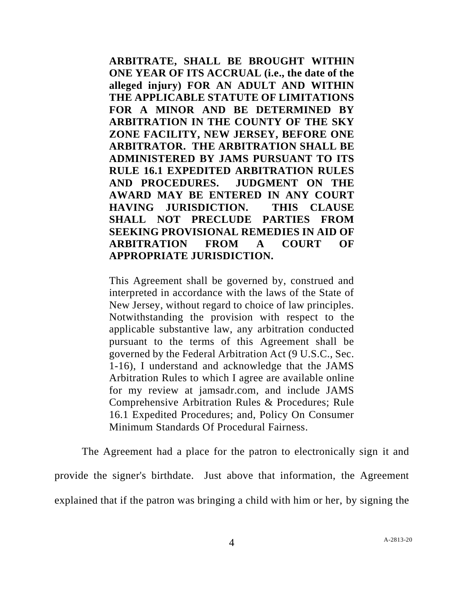**ARBITRATE, SHALL BE BROUGHT WITHIN ONE YEAR OF ITS ACCRUAL (i.e., the date of the alleged injury) FOR AN ADULT AND WITHIN THE APPLICABLE STATUTE OF LIMITATIONS FOR A MINOR AND BE DETERMINED BY ARBITRATION IN THE COUNTY OF THE SKY ZONE FACILITY, NEW JERSEY, BEFORE ONE ARBITRATOR. THE ARBITRATION SHALL BE ADMINISTERED BY JAMS PURSUANT TO ITS RULE 16.1 EXPEDITED ARBITRATION RULES AND PROCEDURES. JUDGMENT ON THE AWARD MAY BE ENTERED IN ANY COURT HAVING JURISDICTION. THIS CLAUSE SHALL NOT PRECLUDE PARTIES FROM SEEKING PROVISIONAL REMEDIES IN AID OF ARBITRATION FROM A COURT OF APPROPRIATE JURISDICTION.**

This Agreement shall be governed by, construed and interpreted in accordance with the laws of the State of New Jersey, without regard to choice of law principles. Notwithstanding the provision with respect to the applicable substantive law, any arbitration conducted pursuant to the terms of this Agreement shall be governed by the Federal Arbitration Act (9 U.S.C., Sec. 1-16), I understand and acknowledge that the JAMS Arbitration Rules to which I agree are available online for my review at jamsadr.com, and include JAMS Comprehensive Arbitration Rules & Procedures; Rule 16.1 Expedited Procedures; and, Policy On Consumer Minimum Standards Of Procedural Fairness.

The Agreement had a place for the patron to electronically sign it and provide the signer's birthdate. Just above that information, the Agreement explained that if the patron was bringing a child with him or her, by signing the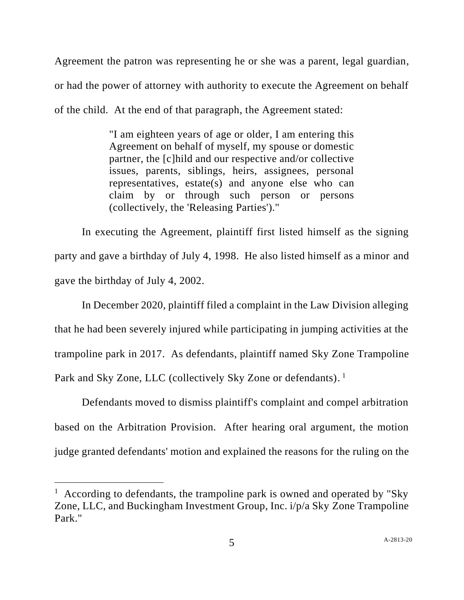Agreement the patron was representing he or she was a parent, legal guardian, or had the power of attorney with authority to execute the Agreement on behalf of the child. At the end of that paragraph, the Agreement stated:

> "I am eighteen years of age or older, I am entering this Agreement on behalf of myself, my spouse or domestic partner, the [c]hild and our respective and/or collective issues, parents, siblings, heirs, assignees, personal representatives, estate(s) and anyone else who can claim by or through such person or persons (collectively, the 'Releasing Parties')."

In executing the Agreement, plaintiff first listed himself as the signing party and gave a birthday of July 4, 1998. He also listed himself as a minor and gave the birthday of July 4, 2002.

In December 2020, plaintiff filed a complaint in the Law Division alleging that he had been severely injured while participating in jumping activities at the trampoline park in 2017. As defendants, plaintiff named Sky Zone Trampoline Park and Sky Zone, LLC (collectively Sky Zone or defendants).<sup>1</sup>

Defendants moved to dismiss plaintiff's complaint and compel arbitration based on the Arbitration Provision. After hearing oral argument, the motion judge granted defendants' motion and explained the reasons for the ruling on the

<sup>&</sup>lt;sup>1</sup> According to defendants, the trampoline park is owned and operated by "Sky Zone, LLC, and Buckingham Investment Group, Inc. i/p/a Sky Zone Trampoline Park<sup>"</sup>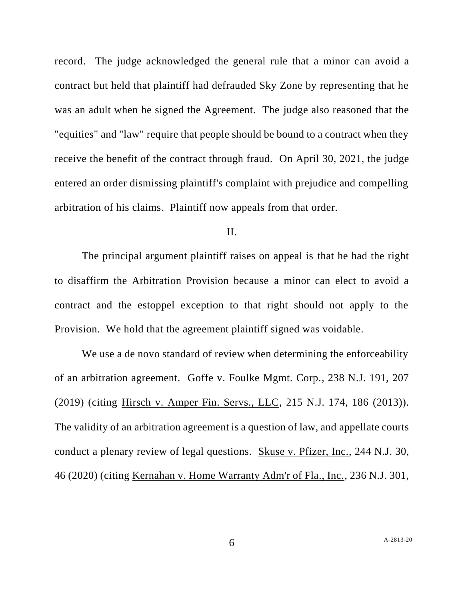record. The judge acknowledged the general rule that a minor can avoid a contract but held that plaintiff had defrauded Sky Zone by representing that he was an adult when he signed the Agreement. The judge also reasoned that the "equities" and "law" require that people should be bound to a contract when they receive the benefit of the contract through fraud. On April 30, 2021, the judge entered an order dismissing plaintiff's complaint with prejudice and compelling arbitration of his claims. Plaintiff now appeals from that order.

## II.

The principal argument plaintiff raises on appeal is that he had the right to disaffirm the Arbitration Provision because a minor can elect to avoid a contract and the estoppel exception to that right should not apply to the Provision. We hold that the agreement plaintiff signed was voidable.

We use a de novo standard of review when determining the enforceability of an arbitration agreement. Goffe v. Foulke Mgmt. Corp., 238 N.J. 191, 207 (2019) (citing Hirsch v. Amper Fin. Servs., LLC, 215 N.J. 174, 186 (2013)). The validity of an arbitration agreement is a question of law, and appellate courts conduct a plenary review of legal questions. Skuse v. Pfizer, Inc., 244 N.J. 30, 46 (2020) (citing Kernahan v. Home Warranty Adm'r of Fla., Inc., 236 N.J. 301,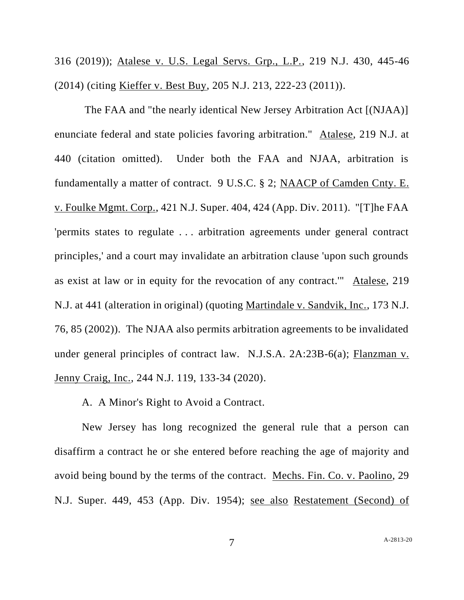316 (2019)); Atalese v. U.S. Legal Servs. Grp., L.P., 219 N.J. 430, 445-46 (2014) (citing Kieffer v. Best Buy, 205 N.J. 213, 222-23 (2011)).

The FAA and "the nearly identical New Jersey Arbitration Act [(NJAA)] enunciate federal and state policies favoring arbitration." Atalese, 219 N.J. at 440 (citation omitted). Under both the FAA and NJAA, arbitration is fundamentally a matter of contract. 9 U.S.C. § 2; NAACP of Camden Cnty. E. v. Foulke Mgmt. Corp., 421 N.J. Super. 404, 424 (App. Div. 2011). "[T]he FAA 'permits states to regulate . . . arbitration agreements under general contract principles,' and a court may invalidate an arbitration clause 'upon such grounds as exist at law or in equity for the revocation of any contract.'" Atalese, 219 N.J. at 441 (alteration in original) (quoting Martindale v. Sandvik, Inc., 173 N.J. 76, 85 (2002)). The NJAA also permits arbitration agreements to be invalidated under general principles of contract law. N.J.S.A. 2A:23B-6(a); Flanzman v. Jenny Craig, Inc., 244 N.J. 119, 133-34 (2020).

A. A Minor's Right to Avoid a Contract.

New Jersey has long recognized the general rule that a person can disaffirm a contract he or she entered before reaching the age of majority and avoid being bound by the terms of the contract. Mechs. Fin. Co. v. Paolino, 29 N.J. Super. 449, 453 (App. Div. 1954); see also Restatement (Second) of

7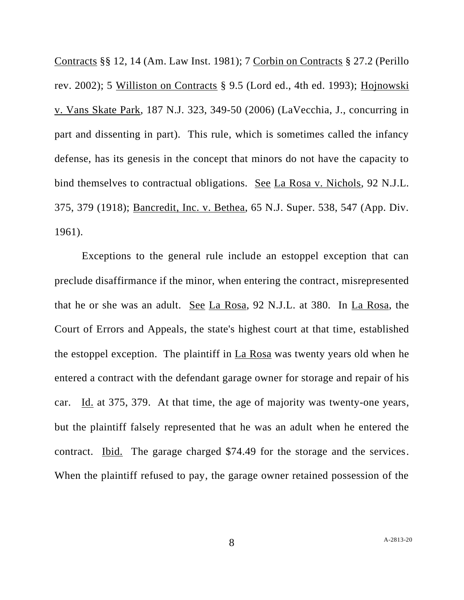Contracts §§ 12, 14 (Am. Law Inst. 1981); 7 Corbin on Contracts § 27.2 (Perillo rev. 2002); 5 Williston on Contracts § 9.5 (Lord ed., 4th ed. 1993); Hojnowski v. Vans Skate Park, 187 N.J. 323, 349-50 (2006) (LaVecchia, J., concurring in part and dissenting in part). This rule, which is sometimes called the infancy defense, has its genesis in the concept that minors do not have the capacity to bind themselves to contractual obligations. See La Rosa v. Nichols, 92 N.J.L. 375, 379 (1918); Bancredit, Inc. v. Bethea, 65 N.J. Super. 538, 547 (App. Div. 1961).

Exceptions to the general rule include an estoppel exception that can preclude disaffirmance if the minor, when entering the contract, misrepresented that he or she was an adult. See La Rosa, 92 N.J.L. at 380. In La Rosa, the Court of Errors and Appeals, the state's highest court at that time, established the estoppel exception. The plaintiff in La Rosa was twenty years old when he entered a contract with the defendant garage owner for storage and repair of his car. Id. at 375, 379. At that time, the age of majority was twenty-one years, but the plaintiff falsely represented that he was an adult when he entered the contract. Ibid. The garage charged \$74.49 for the storage and the services. When the plaintiff refused to pay, the garage owner retained possession of the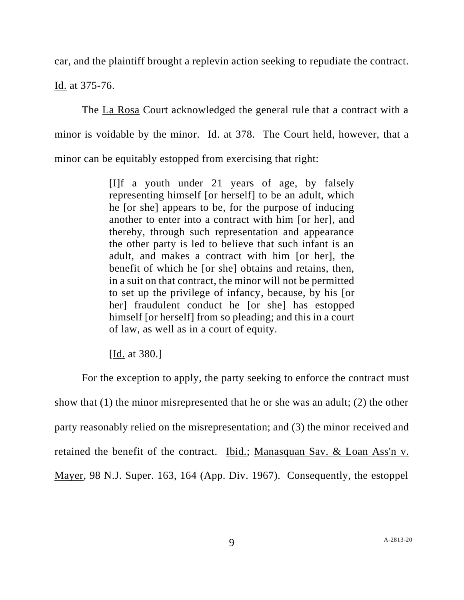car, and the plaintiff brought a replevin action seeking to repudiate the contract.

Id. at 375-76.

The La Rosa Court acknowledged the general rule that a contract with a minor is voidable by the minor. Id. at 378. The Court held, however, that a minor can be equitably estopped from exercising that right:

> [I]f a youth under 21 years of age, by falsely representing himself [or herself] to be an adult, which he [or she] appears to be, for the purpose of inducing another to enter into a contract with him [or her], and thereby, through such representation and appearance the other party is led to believe that such infant is an adult, and makes a contract with him [or her], the benefit of which he [or she] obtains and retains, then, in a suit on that contract, the minor will not be permitted to set up the privilege of infancy, because, by his [or her] fraudulent conduct he [or she] has estopped himself [or herself] from so pleading; and this in a court of law, as well as in a court of equity.

[Id. at 380.]

For the exception to apply, the party seeking to enforce the contract must show that (1) the minor misrepresented that he or she was an adult; (2) the other party reasonably relied on the misrepresentation; and (3) the minor received and retained the benefit of the contract. Ibid.; Manasquan Sav. & Loan Ass'n v. Mayer, 98 N.J. Super. 163, 164 (App. Div. 1967). Consequently, the estoppel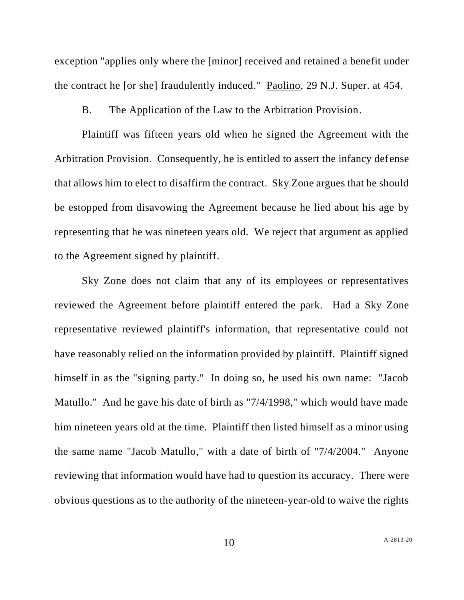exception "applies only where the [minor] received and retained a benefit under the contract he [or she] fraudulently induced." Paolino, 29 N.J. Super. at 454.

B. The Application of the Law to the Arbitration Provision.

Plaintiff was fifteen years old when he signed the Agreement with the Arbitration Provision. Consequently, he is entitled to assert the infancy defense that allows him to elect to disaffirm the contract. Sky Zone argues that he should be estopped from disavowing the Agreement because he lied about his age by representing that he was nineteen years old. We reject that argument as applied to the Agreement signed by plaintiff.

Sky Zone does not claim that any of its employees or representatives reviewed the Agreement before plaintiff entered the park. Had a Sky Zone representative reviewed plaintiff's information, that representative could not have reasonably relied on the information provided by plaintiff. Plaintiff signed himself in as the "signing party." In doing so, he used his own name: "Jacob Matullo." And he gave his date of birth as "7/4/1998," which would have made him nineteen years old at the time. Plaintiff then listed himself as a minor using the same name "Jacob Matullo," with a date of birth of "7/4/2004." Anyone reviewing that information would have had to question its accuracy. There were obvious questions as to the authority of the nineteen-year-old to waive the rights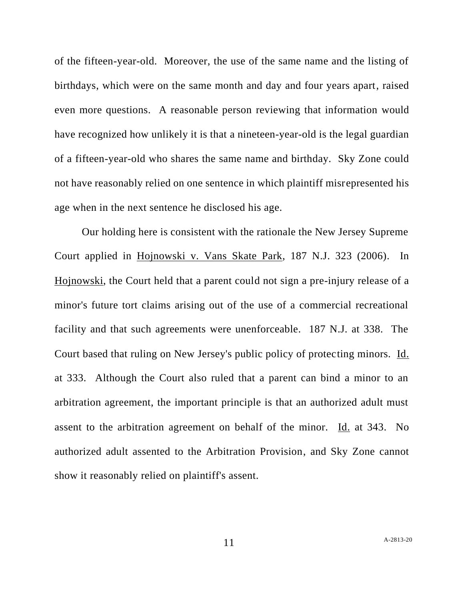of the fifteen-year-old. Moreover, the use of the same name and the listing of birthdays, which were on the same month and day and four years apart, raised even more questions. A reasonable person reviewing that information would have recognized how unlikely it is that a nineteen-year-old is the legal guardian of a fifteen-year-old who shares the same name and birthday. Sky Zone could not have reasonably relied on one sentence in which plaintiff misrepresented his age when in the next sentence he disclosed his age.

Our holding here is consistent with the rationale the New Jersey Supreme Court applied in Hojnowski v. Vans Skate Park, 187 N.J. 323 (2006). In Hojnowski, the Court held that a parent could not sign a pre-injury release of a minor's future tort claims arising out of the use of a commercial recreational facility and that such agreements were unenforceable. 187 N.J. at 338. The Court based that ruling on New Jersey's public policy of protecting minors. Id. at 333. Although the Court also ruled that a parent can bind a minor to an arbitration agreement, the important principle is that an authorized adult must assent to the arbitration agreement on behalf of the minor. Id. at 343. No authorized adult assented to the Arbitration Provision, and Sky Zone cannot show it reasonably relied on plaintiff's assent.